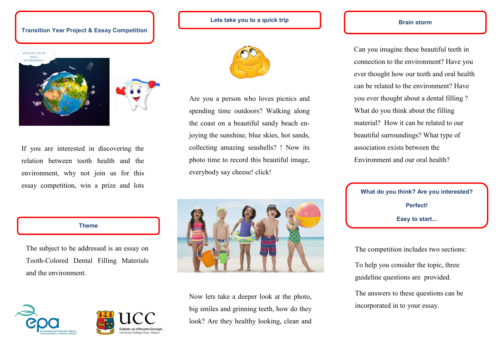# **Transition Year Project & Essay Competition**



If you are interested in discovering the relation between tooth health and the environment, why not join us for this essay competition, win a prize and lots

**Lets take you to a quick trip**



Are you a person who loves picnics and spending time outdoors? Walking along the coast on a beautiful sandy beach enjoying the sunshine, blue skies, hot sands, collecting amazing seashells? ! Now its photo time to record this beautiful image, everybody say cheese! click!

**Brain storm**

Can you imagine these beautiful teeth in connection to the environment? Have you ever thought how our teeth and oral health can be related to the environment? Have you ever thought about a dental filling ? What do you think about the filling material? How it can be related to our beautiful surroundings? What type of association exists between the Environment and our oral health?

**What do you think? Are you interested? Perfect! Easy to start...**

The competition includes two sections:

To help you consider the topic, three guideline questions are provided.

The answers to these questions can be incorporated in to your essay.

#### **Theme**

The subject to be addressed is an essay on Tooth-Colored Dental Filling Materials and the environment.







Now lets take a deeper look at the photo, big smiles and grinning teeth, how do they look? Are they healthy looking, clean and